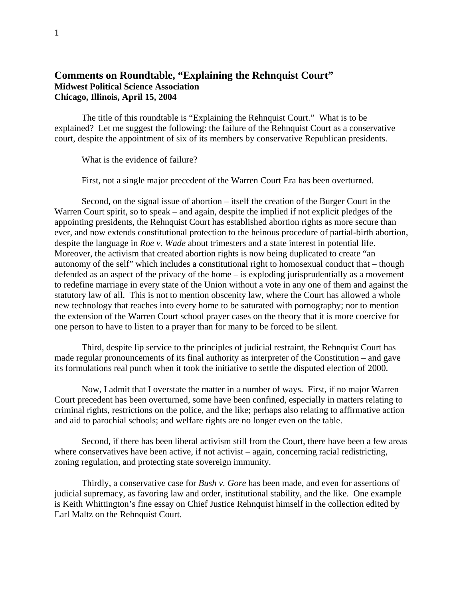## **Comments on Roundtable, "Explaining the Rehnquist Court" Midwest Political Science Association Chicago, Illinois, April 15, 2004**

 The title of this roundtable is "Explaining the Rehnquist Court." What is to be explained? Let me suggest the following: the failure of the Rehnquist Court as a conservative court, despite the appointment of six of its members by conservative Republican presidents.

What is the evidence of failure?

First, not a single major precedent of the Warren Court Era has been overturned.

Second, on the signal issue of abortion – itself the creation of the Burger Court in the Warren Court spirit, so to speak – and again, despite the implied if not explicit pledges of the appointing presidents, the Rehnquist Court has established abortion rights as more secure than ever, and now extends constitutional protection to the heinous procedure of partial-birth abortion, despite the language in *Roe v. Wade* about trimesters and a state interest in potential life. Moreover, the activism that created abortion rights is now being duplicated to create "an autonomy of the self" which includes a constitutional right to homosexual conduct that – though defended as an aspect of the privacy of the home – is exploding jurisprudentially as a movement to redefine marriage in every state of the Union without a vote in any one of them and against the statutory law of all. This is not to mention obscenity law, where the Court has allowed a whole new technology that reaches into every home to be saturated with pornography; nor to mention the extension of the Warren Court school prayer cases on the theory that it is more coercive for one person to have to listen to a prayer than for many to be forced to be silent.

 Third, despite lip service to the principles of judicial restraint, the Rehnquist Court has made regular pronouncements of its final authority as interpreter of the Constitution – and gave its formulations real punch when it took the initiative to settle the disputed election of 2000.

 Now, I admit that I overstate the matter in a number of ways. First, if no major Warren Court precedent has been overturned, some have been confined, especially in matters relating to criminal rights, restrictions on the police, and the like; perhaps also relating to affirmative action and aid to parochial schools; and welfare rights are no longer even on the table.

 Second, if there has been liberal activism still from the Court, there have been a few areas where conservatives have been active, if not activist – again, concerning racial redistricting, zoning regulation, and protecting state sovereign immunity.

 Thirdly, a conservative case for *Bush v. Gore* has been made, and even for assertions of judicial supremacy, as favoring law and order, institutional stability, and the like. One example is Keith Whittington's fine essay on Chief Justice Rehnquist himself in the collection edited by Earl Maltz on the Rehnquist Court.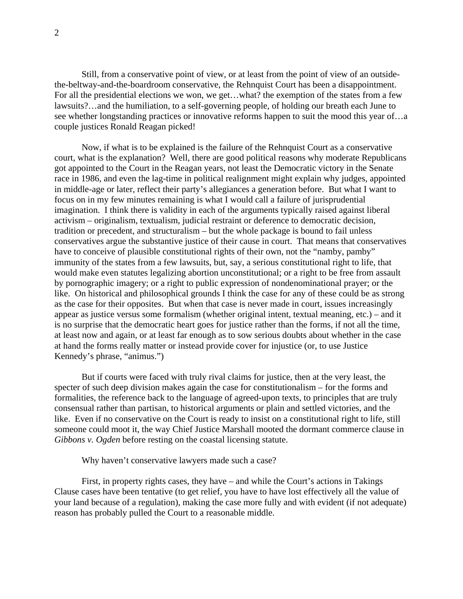Still, from a conservative point of view, or at least from the point of view of an outsidethe-beltway-and-the-boardroom conservative, the Rehnquist Court has been a disappointment. For all the presidential elections we won, we get…what? the exemption of the states from a few lawsuits?…and the humiliation, to a self-governing people, of holding our breath each June to see whether longstanding practices or innovative reforms happen to suit the mood this year of…a couple justices Ronald Reagan picked!

 Now, if what is to be explained is the failure of the Rehnquist Court as a conservative court, what is the explanation? Well, there are good political reasons why moderate Republicans got appointed to the Court in the Reagan years, not least the Democratic victory in the Senate race in 1986, and even the lag-time in political realignment might explain why judges, appointed in middle-age or later, reflect their party's allegiances a generation before. But what I want to focus on in my few minutes remaining is what I would call a failure of jurisprudential imagination. I think there is validity in each of the arguments typically raised against liberal activism – originalism, textualism, judicial restraint or deference to democratic decision, tradition or precedent, and structuralism – but the whole package is bound to fail unless conservatives argue the substantive justice of their cause in court. That means that conservatives have to conceive of plausible constitutional rights of their own, not the "namby, pamby" immunity of the states from a few lawsuits, but, say, a serious constitutional right to life, that would make even statutes legalizing abortion unconstitutional; or a right to be free from assault by pornographic imagery; or a right to public expression of nondenominational prayer; or the like. On historical and philosophical grounds I think the case for any of these could be as strong as the case for their opposites. But when that case is never made in court, issues increasingly appear as justice versus some formalism (whether original intent, textual meaning, etc.) – and it is no surprise that the democratic heart goes for justice rather than the forms, if not all the time, at least now and again, or at least far enough as to sow serious doubts about whether in the case at hand the forms really matter or instead provide cover for injustice (or, to use Justice Kennedy's phrase, "animus.")

 But if courts were faced with truly rival claims for justice, then at the very least, the specter of such deep division makes again the case for constitutionalism – for the forms and formalities, the reference back to the language of agreed-upon texts, to principles that are truly consensual rather than partisan, to historical arguments or plain and settled victories, and the like. Even if no conservative on the Court is ready to insist on a constitutional right to life, still someone could moot it, the way Chief Justice Marshall mooted the dormant commerce clause in *Gibbons v. Ogden* before resting on the coastal licensing statute.

Why haven't conservative lawyers made such a case?

 First, in property rights cases, they have – and while the Court's actions in Takings Clause cases have been tentative (to get relief, you have to have lost effectively all the value of your land because of a regulation), making the case more fully and with evident (if not adequate) reason has probably pulled the Court to a reasonable middle.